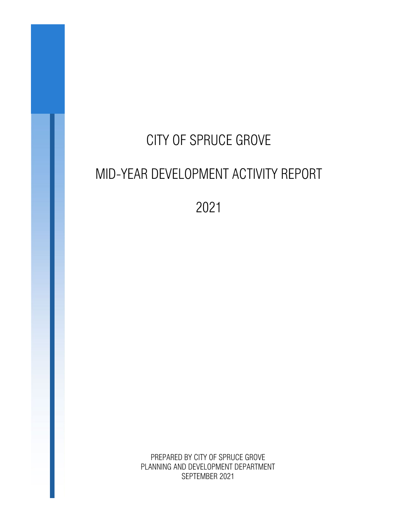# CITY OF SPRUCE GROVE MID-YEAR DEVELOPMENT ACTIVITY REPORT

2021

PREPARED BY CITY OF SPRUCE GROVE PLANNING AND DEVELOPMENT DEPARTMENT SEPTEMBER 2021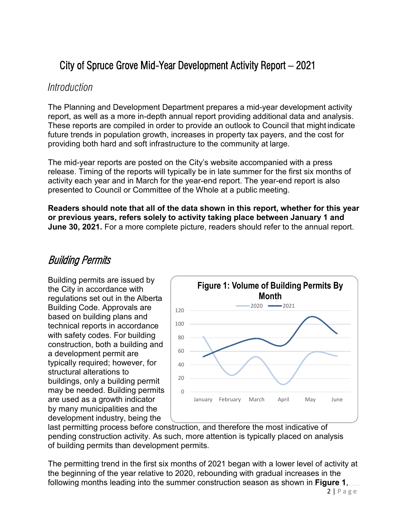## City of Spruce Grove Mid-Year Development Activity Report – 2021

#### *Introduction*

The Planning and Development Department prepares a mid-year development activity report, as well as a more in-depth annual report providing additional data and analysis. These reports are compiled in order to provide an outlook to Council that might indicate future trends in population growth, increases in property tax payers, and the cost for providing both hard and soft infrastructure to the community at large.

The mid-year reports are posted on the City's website accompanied with a press release. Timing of the reports will typically be in late summer for the first six months of activity each year and in March for the year-end report. The year-end report is also presented to Council or Committee of the Whole at a public meeting.

**Readers should note that all of the data shown in this report, whether for this year or previous years, refers solely to activity taking place between January 1 and June 30, 2021.** For a more complete picture, readers should refer to the annual report.

### Building Permits

Building permits are issued by the City in accordance with regulations set out in the Alberta Building Code. Approvals are based on building plans and technical reports in accordance with safety codes. For building construction, both a building and a development permit are typically required; however, for structural alterations to buildings, only a building permit may be needed. Building permits are used as a growth indicator by many municipalities and the development industry, being the



last permitting process before construction, and therefore the most indicative of pending construction activity. As such, more attention is typically placed on analysis of building permits than development permits.

The permitting trend in the first six months of 2021 began with a lower level of activity at the beginning of the year relative to 2020, rebounding with gradual increases in the following months leading into the summer construction season as shown in **Figure 1**,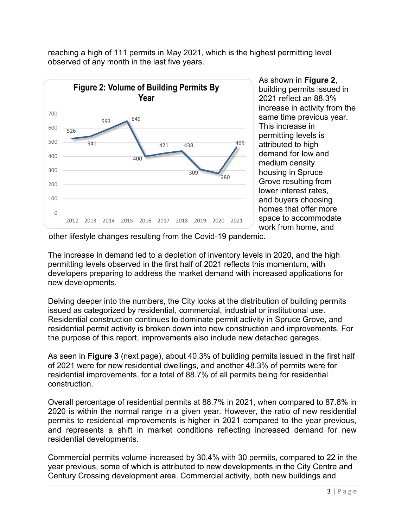reaching a high of 111 permits in May 2021, which is the highest permitting level observed of any month in the last five years.



As shown in **Figure 2**, building permits issued in 2021 reflect an 88.3% increase in activity from the same time previous year. This increase in permitting levels is attributed to high demand for low and medium density housing in Spruce Grove resulting from lower interest rates, and buyers choosing homes that offer more space to accommodate work from home, and

other lifestyle changes resulting from the Covid-19 pandemic.

The increase in demand led to a depletion of inventory levels in 2020, and the high permitting levels observed in the first half of 2021 reflects this momentum, with developers preparing to address the market demand with increased applications for new developments.

Delving deeper into the numbers, the City looks at the distribution of building permits issued as categorized by residential, commercial, industrial or institutional use. Residential construction continues to dominate permit activity in Spruce Grove, and residential permit activity is broken down into new construction and improvements. For the purpose of this report, improvements also include new detached garages.

As seen in **Figure 3** (next page), about 40.3% of building permits issued in the first half of 2021 were for new residential dwellings, and another 48.3% of permits were for residential improvements, for a total of 88.7% of all permits being for residential construction.

Overall percentage of residential permits at 88.7% in 2021, when compared to 87.8% in 2020 is within the normal range in a given year. However, the ratio of new residential permits to residential improvements is higher in 2021 compared to the year previous, and represents a shift in market conditions reflecting increased demand for new residential developments.

Commercial permits volume increased by 30.4% with 30 permits, compared to 22 in the year previous, some of which is attributed to new developments in the City Centre and Century Crossing development area. Commercial activity, both new buildings and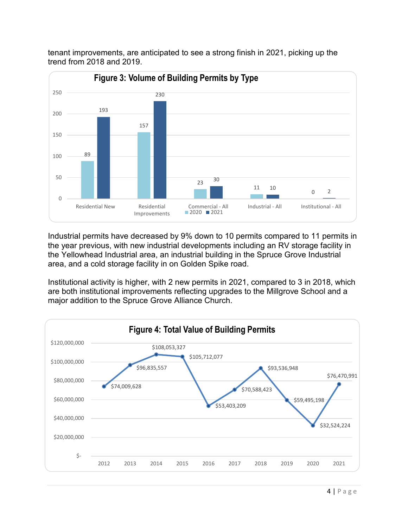

tenant improvements, are anticipated to see a strong finish in 2021, picking up the trend from 2018 and 2019.

Industrial permits have decreased by 9% down to 10 permits compared to 11 permits in the year previous, with new industrial developments including an RV storage facility in the Yellowhead Industrial area, an industrial building in the Spruce Grove Industrial area, and a cold storage facility in on Golden Spike road.

Institutional activity is higher, with 2 new permits in 2021, compared to 3 in 2018, which are both institutional improvements reflecting upgrades to the Millgrove School and a major addition to the Spruce Grove Alliance Church.

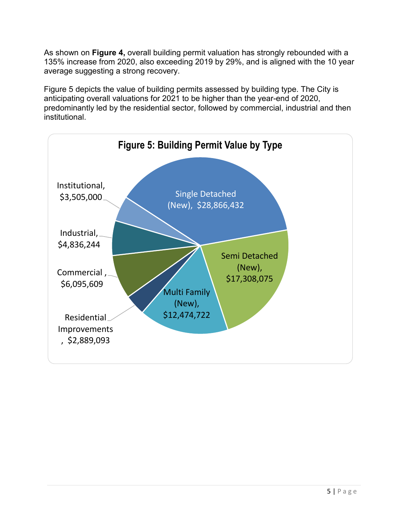As shown on **Figure 4,** overall building permit valuation has strongly rebounded with a 135% increase from 2020, also exceeding 2019 by 29%, and is aligned with the 10 year average suggesting a strong recovery.

Figure 5 depicts the value of building permits assessed by building type. The City is anticipating overall valuations for 2021 to be higher than the year-end of 2020, predominantly led by the residential sector, followed by commercial, industrial and then institutional.

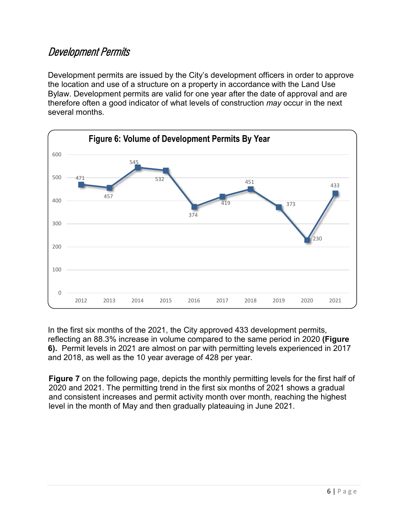### Development Permits

Development permits are issued by the City's development officers in order to approve the location and use of a structure on a property in accordance with the Land Use Bylaw. Development permits are valid for one year after the date of approval and are therefore often a good indicator of what levels of construction *may* occur in the next several months.



In the first six months of the 2021, the City approved 433 development permits, reflecting an 88.3% increase in volume compared to the same period in 2020 **(Figure 6).** Permit levels in 2021 are almost on par with permitting levels experienced in 2017 and 2018, as well as the 10 year average of 428 per year.

**Figure 7** on the following page, depicts the monthly permitting levels for the first half of 2020 and 2021. The permitting trend in the first six months of 2021 shows a gradual and consistent increases and permit activity month over month, reaching the highest level in the month of May and then gradually plateauing in June 2021.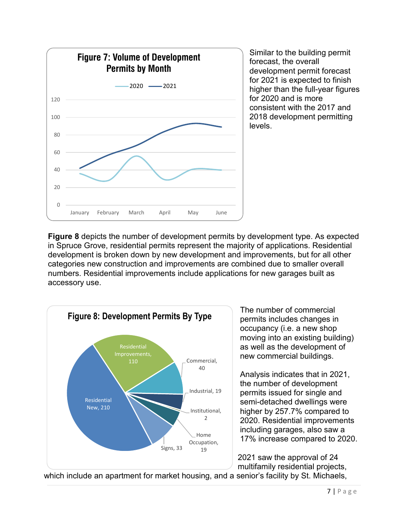

Similar to the building permit forecast, the overall development permit forecast for 2021 is expected to finish higher than the full-year figures for 2020 and is more consistent with the 2017 and 2018 development permitting levels.

**Figure 8** depicts the number of development permits by development type. As expected in Spruce Grove, residential permits represent the majority of applications. Residential development is broken down by new development and improvements, but for all other categories new construction and improvements are combined due to smaller overall numbers. Residential improvements include applications for new garages built as accessory use.



The number of commercial permits includes changes in occupancy (i.e. a new shop moving into an existing building) as well as the development of new commercial buildings.

Analysis indicates that in 2021, the number of development permits issued for single and semi-detached dwellings were higher by 257.7% compared to 2020. Residential improvements including garages, also saw a 17% increase compared to 2020.

2021 saw the approval of 24 multifamily residential projects,

which include an apartment for market housing, and a senior's facility by St. Michaels,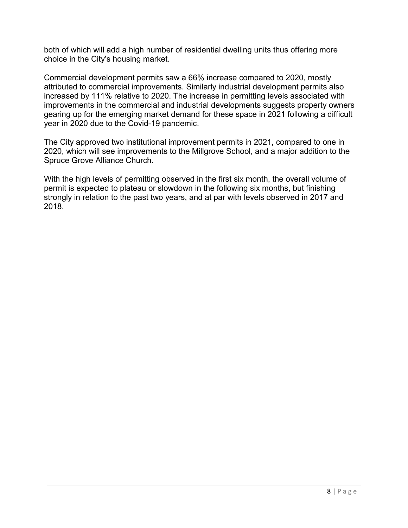both of which will add a high number of residential dwelling units thus offering more choice in the City's housing market.

Commercial development permits saw a 66% increase compared to 2020, mostly attributed to commercial improvements. Similarly industrial development permits also increased by 111% relative to 2020. The increase in permitting levels associated with improvements in the commercial and industrial developments suggests property owners gearing up for the emerging market demand for these space in 2021 following a difficult year in 2020 due to the Covid-19 pandemic.

The City approved two institutional improvement permits in 2021, compared to one in 2020, which will see improvements to the Millgrove School, and a major addition to the Spruce Grove Alliance Church.

With the high levels of permitting observed in the first six month, the overall volume of permit is expected to plateau or slowdown in the following six months, but finishing strongly in relation to the past two years, and at par with levels observed in 2017 and 2018.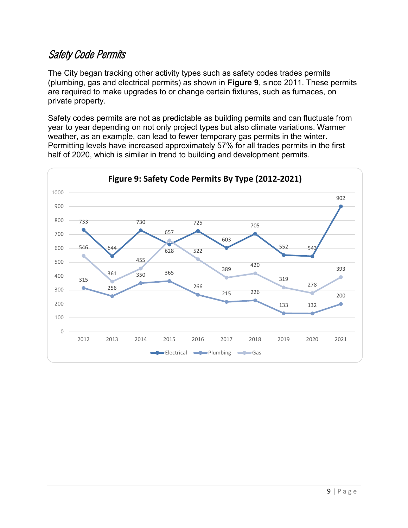### Safety Code Permits

The City began tracking other activity types such as safety codes trades permits (plumbing, gas and electrical permits) as shown in **Figure 9**, since 2011. These permits are required to make upgrades to or change certain fixtures, such as furnaces, on private property.

Safety codes permits are not as predictable as building permits and can fluctuate from year to year depending on not only project types but also climate variations. Warmer weather, as an example, can lead to fewer temporary gas permits in the winter. Permitting levels have increased approximately 57% for all trades permits in the first half of 2020, which is similar in trend to building and development permits.

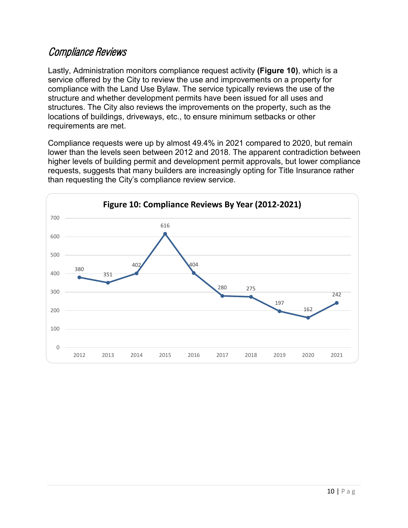#### Compliance Reviews

Lastly, Administration monitors compliance request activity **(Figure 10)**, which is a service offered by the City to review the use and improvements on a property for compliance with the Land Use Bylaw. The service typically reviews the use of the structure and whether development permits have been issued for all uses and structures. The City also reviews the improvements on the property, such as the locations of buildings, driveways, etc., to ensure minimum setbacks or other requirements are met.

Compliance requests were up by almost 49.4% in 2021 compared to 2020, but remain lower than the levels seen between 2012 and 2018. The apparent contradiction between higher levels of building permit and development permit approvals, but lower compliance requests, suggests that many builders are increasingly opting for Title Insurance rather than requesting the City's compliance review service.